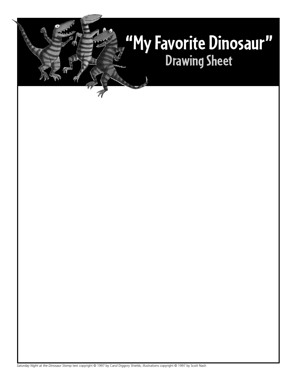## **"My Favorite Dinosaur" Drawing Sheet**

*Saturday Night at the Dinosaur Stomp* text copyright © 1997 by Carol Diggory Shields; illustrations copyright © 1997 by Scott Nash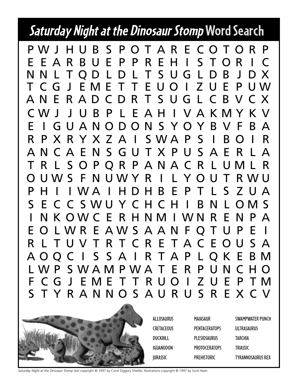### **Saturday Night at the Dinosaur StompWord Search**

CWJ J U B P L E AH I VAKMYKV E I GUANODONS YOYBV F BA R P X R Y X Z A I SWA P S I B O I R ANCAENSGUTXPUSAER LA T R L S O P QR P ANA C R L UML R O UWS F N UWY R I L YOU T RWU P H I I W A I H D H B E P T L S Z U A S E C C SWU Y C H C H I B N L OMS I N K OWC E R H NM I WN R E N P A E O LWR E AWS A A N F Q T U P E I R L TUVT R T C R E TAC EOUS A A OQC I S S A I R TAP LQK E BM L WP SWAMPWA T E R P UN C HO ANERADCDR T SUGL CBVCX T CG J EME T T E UO I Z U E P UW NNL TQDL DL T SUGLDB J DX EEARBUEPP R EH I S TOR I C S TYRANNOS A URUSREXCV F CG J EME T T R UO I ZUE P TM PWJ HUB S POT AR E COTOR P



ALLOSAURUS **CRETACEOUS** DUCKBILL IGUANODON JURASSIC

MAIASAUR **PENTACERATOPS** PLESIOSAURUS PROTOCERATOPS PREHISTORIC

SWAMPWATER PUNCH ULTRASAURUS TARCHIA **TRIASSIC** TYRANNOSAURUS REX

*Saturday Night at the Dinosaur Stomp* text copyright © 1997 by Carol Diggory Shields; illustrations copyright © 1997 by Scott Nash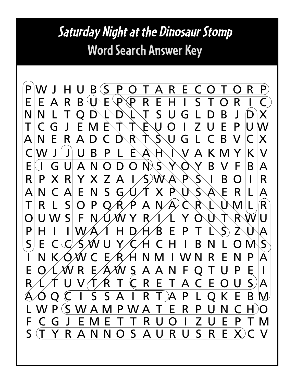### **Saturday Night at the Dinosaur Stomp Word Search Answer Key**

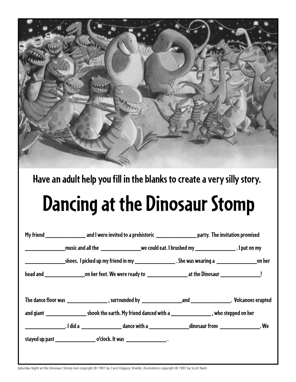

**Have an adult help you fill in the blanks to create a very silly story.**

# **Dancing at the Dinosaur Stomp**

*Saturday Night at the Dinosaur Stomp* text copyright © 1997 by Carol Diggory Shields; illustrations copyright © 1997 by Scott Nash